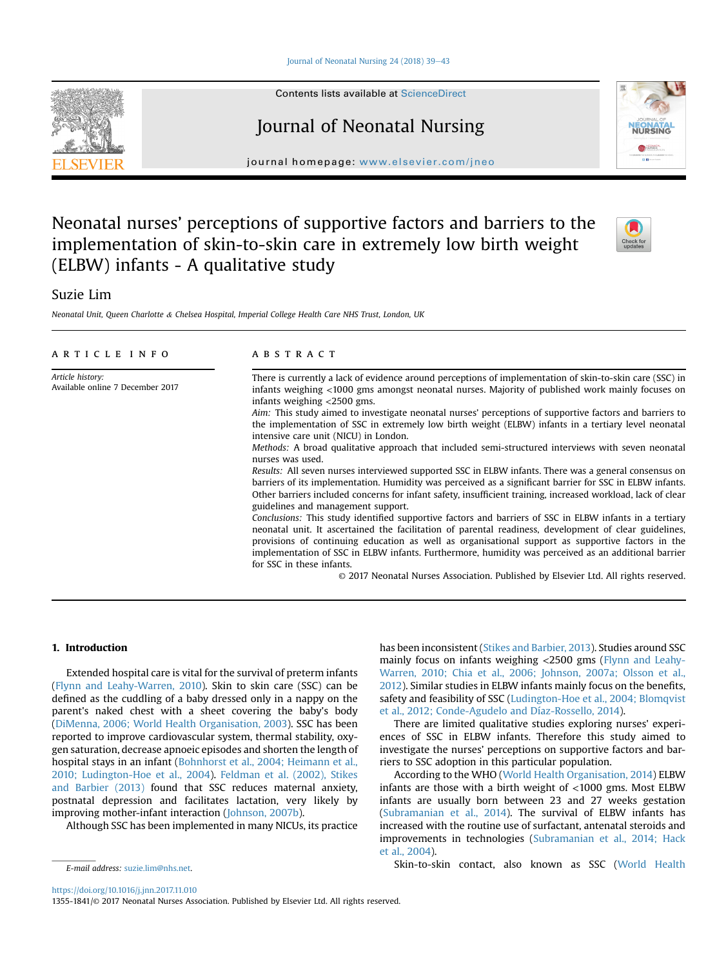[Journal of Neonatal Nursing 24 \(2018\) 39](https://doi.org/10.1016/j.jnn.2017.11.010)-[43](https://doi.org/10.1016/j.jnn.2017.11.010)

Contents lists available at ScienceDirect

# Journal of Neonatal Nursing

journal homepage: <www.elsevier.com/jneo>

# Neonatal nurses' perceptions of supportive factors and barriers to the implementation of skin-to-skin care in extremely low birth weight (ELBW) infants - A qualitative study

# Suzie Lim

Neonatal Unit, Queen Charlotte & Chelsea Hospital, Imperial College Health Care NHS Trust, London, UK

| ARTICLE INFO                                         | <b>ABSTRACT</b>                                                                                                                                                                                                                                                                                                                                                                                                                                            |
|------------------------------------------------------|------------------------------------------------------------------------------------------------------------------------------------------------------------------------------------------------------------------------------------------------------------------------------------------------------------------------------------------------------------------------------------------------------------------------------------------------------------|
| Article history:<br>Available online 7 December 2017 | There is currently a lack of evidence around perceptions of implementation of skin-to-skin care (SSC) in<br>infants weighing <1000 gms amongst neonatal nurses. Majority of published work mainly focuses on<br>infants weighing $<$ 2500 gms.                                                                                                                                                                                                             |
|                                                      | Aim: This study aimed to investigate neonatal nurses' perceptions of supportive factors and barriers to<br>the implementation of SSC in extremely low birth weight (ELBW) infants in a tertiary level neonatal<br>intensive care unit (NICU) in London.                                                                                                                                                                                                    |
|                                                      | <i>Methods:</i> A broad qualitative approach that included semi-structured interviews with seven neonatal<br>nurses was used.                                                                                                                                                                                                                                                                                                                              |
|                                                      | Results: All seven nurses interviewed supported SSC in ELBW infants. There was a general consensus on<br>barriers of its implementation. Humidity was perceived as a significant barrier for SSC in ELBW infants.<br>Other barriers included concerns for infant safety, insufficient training, increased workload, lack of clear<br>guidelines and management support.                                                                                    |
|                                                      | Conclusions: This study identified supportive factors and barriers of SSC in ELBW infants in a tertiary<br>neonatal unit. It ascertained the facilitation of parental readiness, development of clear guidelines,<br>provisions of continuing education as well as organisational support as supportive factors in the<br>implementation of SSC in ELBW infants. Furthermore, humidity was perceived as an additional barrier<br>for SSC in these infants. |
|                                                      | © 2017 Neonatal Nurses Association. Published by Elsevier Ltd. All rights reserved.                                                                                                                                                                                                                                                                                                                                                                        |

# 1. Introduction

Extended hospital care is vital for the survival of preterm infants ([Flynn and Leahy-Warren, 2010](#page-3-0)). Skin to skin care (SSC) can be defined as the cuddling of a baby dressed only in a nappy on the parent's naked chest with a sheet covering the baby's body ([DiMenna, 2006; World Health Organisation, 2003\)](#page-3-0). SSC has been reported to improve cardiovascular system, thermal stability, oxygen saturation, decrease apnoeic episodes and shorten the length of hospital stays in an infant ([Bohnhorst et al., 2004; Heimann et al.,](#page-3-0) [2010; Ludington-Hoe et al., 2004](#page-3-0)). [Feldman et al. \(2002\), Stikes](#page-3-0) [and Barbier \(2013\)](#page-3-0) found that SSC reduces maternal anxiety, postnatal depression and facilitates lactation, very likely by improving mother-infant interaction [\(Johnson, 2007b](#page-4-0)).

Although SSC has been implemented in many NICUs, its practice

has been inconsistent ([Stikes and Barbier, 2013\)](#page-4-0). Studies around SSC mainly focus on infants weighing <2500 gms ([Flynn and Leahy-](#page-3-0)[Warren, 2010; Chia et al., 2006; Johnson, 2007a; Olsson et al.,](#page-3-0) [2012\)](#page-3-0). Similar studies in ELBW infants mainly focus on the benefits, safety and feasibility of SSC [\(Ludington-Hoe et al., 2004; Blomqvist](#page-4-0) [et al., 2012; Conde-Agudelo and Díaz-Rossello, 2014](#page-4-0)).

There are limited qualitative studies exploring nurses' experiences of SSC in ELBW infants. Therefore this study aimed to investigate the nurses' perceptions on supportive factors and barriers to SSC adoption in this particular population.

According to the WHO ([World Health Organisation, 2014\)](#page-4-0) ELBW infants are those with a birth weight of <1000 gms. Most ELBW infants are usually born between 23 and 27 weeks gestation ([Subramanian et al., 2014\)](#page-4-0). The survival of ELBW infants has increased with the routine use of surfactant, antenatal steroids and improvements in technologies ([Subramanian et al., 2014; Hack](#page-4-0) [et al., 2004\)](#page-4-0).

 $\frac{1}{\text{F-mail } address}$ : suzie lim@nhs.net. Contact, also known as SSC ([World Health](#page-4-0) E-mail address: [suzie.lim@nhs.net](mailto:suzie.lim@nhs.net).

<https://doi.org/10.1016/j.jnn.2017.11.010>

1355-1841/© 2017 Neonatal Nurses Association. Published by Elsevier Ltd. All rights reserved.





Check fo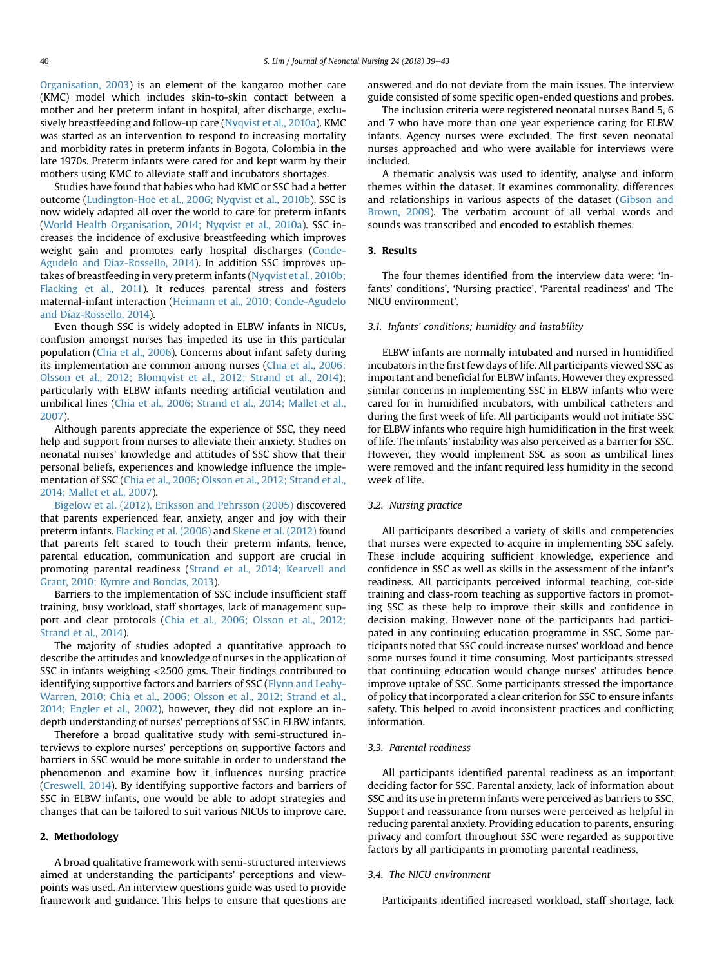[Organisation, 2003](#page-4-0)) is an element of the kangaroo mother care (KMC) model which includes skin-to-skin contact between a mother and her preterm infant in hospital, after discharge, exclusively breastfeeding and follow-up care ([Nyqvist et al., 2010a](#page-4-0)). KMC was started as an intervention to respond to increasing mortality and morbidity rates in preterm infants in Bogota, Colombia in the late 1970s. Preterm infants were cared for and kept warm by their mothers using KMC to alleviate staff and incubators shortages.

Studies have found that babies who had KMC or SSC had a better outcome [\(Ludington-Hoe et al., 2006; Nyqvist et al., 2010b\)](#page-4-0). SSC is now widely adapted all over the world to care for preterm infants ([World Health Organisation, 2014; Nyqvist et al., 2010a\)](#page-4-0). SSC increases the incidence of exclusive breastfeeding which improves weight gain and promotes early hospital discharges ([Conde-](#page-3-0)[Agudelo and Díaz-Rossello, 2014\)](#page-3-0). In addition SSC improves uptakes of breastfeeding in very preterm infants [\(Nyqvist et al., 2010b;](#page-4-0) [Flacking et al., 2011\)](#page-4-0). It reduces parental stress and fosters maternal-infant interaction ([Heimann et al., 2010; Conde-Agudelo](#page-3-0) [and Díaz-Rossello, 2014\)](#page-3-0).

Even though SSC is widely adopted in ELBW infants in NICUs, confusion amongst nurses has impeded its use in this particular population [\(Chia et al., 2006](#page-3-0)). Concerns about infant safety during its implementation are common among nurses ([Chia et al., 2006;](#page-3-0) [Olsson et al., 2012; Blomqvist et al., 2012; Strand et al., 2014](#page-3-0)); particularly with ELBW infants needing artificial ventilation and umbilical lines [\(Chia et al., 2006; Strand et al., 2014; Mallet et al.,](#page-3-0) [2007\)](#page-3-0).

Although parents appreciate the experience of SSC, they need help and support from nurses to alleviate their anxiety. Studies on neonatal nurses' knowledge and attitudes of SSC show that their personal beliefs, experiences and knowledge influence the implementation of SSC ([Chia et al., 2006; Olsson et al., 2012; Strand et al.,](#page-3-0) [2014; Mallet et al., 2007\)](#page-3-0).

[Bigelow et al. \(2012\), Eriksson and Pehrsson \(2005\)](#page-3-0) discovered that parents experienced fear, anxiety, anger and joy with their preterm infants. [Flacking et al. \(2006\)](#page-3-0) and [Skene et al. \(2012\)](#page-4-0) found that parents felt scared to touch their preterm infants, hence, parental education, communication and support are crucial in promoting parental readiness [\(Strand et al., 2014; Kearvell and](#page-4-0) [Grant, 2010; Kymre and Bondas, 2013\)](#page-4-0).

Barriers to the implementation of SSC include insufficient staff training, busy workload, staff shortages, lack of management support and clear protocols [\(Chia et al., 2006; Olsson et al., 2012;](#page-3-0) [Strand et al., 2014\)](#page-3-0).

The majority of studies adopted a quantitative approach to describe the attitudes and knowledge of nurses in the application of SSC in infants weighing <2500 gms. Their findings contributed to identifying supportive factors and barriers of SSC [\(Flynn and Leahy-](#page-3-0)[Warren, 2010; Chia et al., 2006; Olsson et al., 2012; Strand et al.,](#page-3-0) [2014; Engler et al., 2002](#page-3-0)), however, they did not explore an indepth understanding of nurses' perceptions of SSC in ELBW infants.

Therefore a broad qualitative study with semi-structured interviews to explore nurses' perceptions on supportive factors and barriers in SSC would be more suitable in order to understand the phenomenon and examine how it influences nursing practice ([Creswell, 2014](#page-3-0)). By identifying supportive factors and barriers of SSC in ELBW infants, one would be able to adopt strategies and changes that can be tailored to suit various NICUs to improve care.

# 2. Methodology

A broad qualitative framework with semi-structured interviews aimed at understanding the participants' perceptions and viewpoints was used. An interview questions guide was used to provide framework and guidance. This helps to ensure that questions are answered and do not deviate from the main issues. The interview guide consisted of some specific open-ended questions and probes.

The inclusion criteria were registered neonatal nurses Band 5, 6 and 7 who have more than one year experience caring for ELBW infants. Agency nurses were excluded. The first seven neonatal nurses approached and who were available for interviews were included.

A thematic analysis was used to identify, analyse and inform themes within the dataset. It examines commonality, differences and relationships in various aspects of the dataset ([Gibson and](#page-3-0) [Brown, 2009\)](#page-3-0). The verbatim account of all verbal words and sounds was transcribed and encoded to establish themes.

# 3. Results

The four themes identified from the interview data were: 'Infants' conditions', 'Nursing practice', 'Parental readiness' and 'The NICU environment'.

#### 3.1. Infants' conditions; humidity and instability

ELBW infants are normally intubated and nursed in humidified incubators in the first few days of life. All participants viewed SSC as important and beneficial for ELBW infants. However they expressed similar concerns in implementing SSC in ELBW infants who were cared for in humidified incubators, with umbilical catheters and during the first week of life. All participants would not initiate SSC for ELBW infants who require high humidification in the first week of life. The infants' instability was also perceived as a barrier for SSC. However, they would implement SSC as soon as umbilical lines were removed and the infant required less humidity in the second week of life.

# 3.2. Nursing practice

All participants described a variety of skills and competencies that nurses were expected to acquire in implementing SSC safely. These include acquiring sufficient knowledge, experience and confidence in SSC as well as skills in the assessment of the infant's readiness. All participants perceived informal teaching, cot-side training and class-room teaching as supportive factors in promoting SSC as these help to improve their skills and confidence in decision making. However none of the participants had participated in any continuing education programme in SSC. Some participants noted that SSC could increase nurses' workload and hence some nurses found it time consuming. Most participants stressed that continuing education would change nurses' attitudes hence improve uptake of SSC. Some participants stressed the importance of policy that incorporated a clear criterion for SSC to ensure infants safety. This helped to avoid inconsistent practices and conflicting information.

#### 3.3. Parental readiness

All participants identified parental readiness as an important deciding factor for SSC. Parental anxiety, lack of information about SSC and its use in preterm infants were perceived as barriers to SSC. Support and reassurance from nurses were perceived as helpful in reducing parental anxiety. Providing education to parents, ensuring privacy and comfort throughout SSC were regarded as supportive factors by all participants in promoting parental readiness.

#### 3.4. The NICU environment

Participants identified increased workload, staff shortage, lack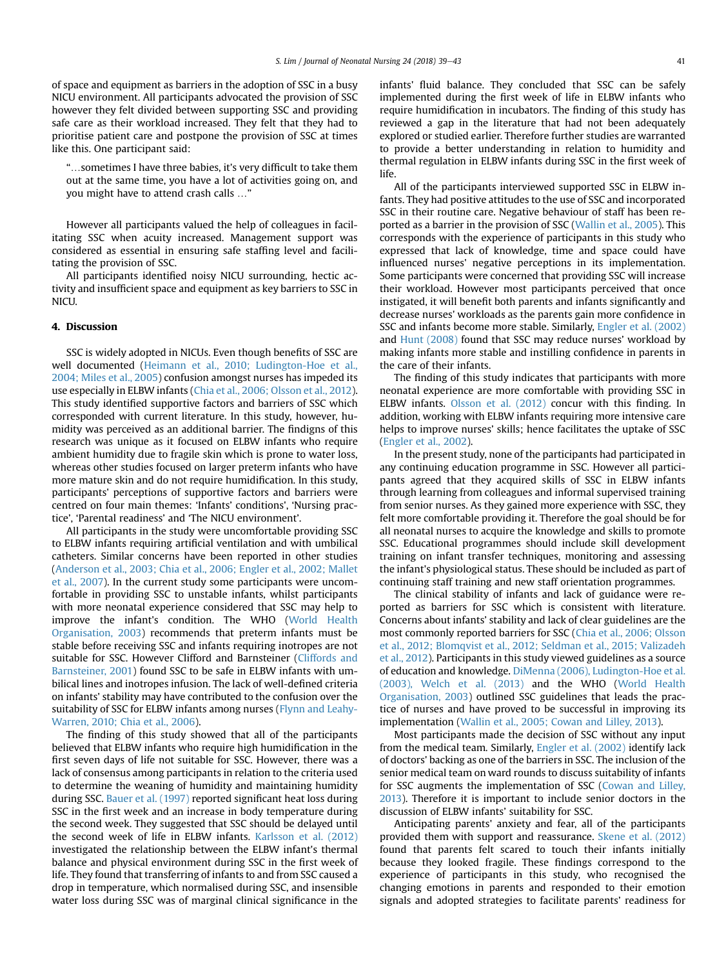of space and equipment as barriers in the adoption of SSC in a busy NICU environment. All participants advocated the provision of SSC however they felt divided between supporting SSC and providing safe care as their workload increased. They felt that they had to prioritise patient care and postpone the provision of SSC at times like this. One participant said:

"…sometimes I have three babies, it's very difficult to take them out at the same time, you have a lot of activities going on, and you might have to attend crash calls …"

However all participants valued the help of colleagues in facilitating SSC when acuity increased. Management support was considered as essential in ensuring safe staffing level and facilitating the provision of SSC.

All participants identified noisy NICU surrounding, hectic activity and insufficient space and equipment as key barriers to SSC in **NICU** 

# 4. Discussion

SSC is widely adopted in NICUs. Even though benefits of SSC are well documented [\(Heimann et al., 2010; Ludington-Hoe et al.,](#page-3-0) [2004; Miles et al., 2005\)](#page-3-0) confusion amongst nurses has impeded its use especially in ELBW infants [\(Chia et al., 2006; Olsson et al., 2012\)](#page-3-0). This study identified supportive factors and barriers of SSC which corresponded with current literature. In this study, however, humidity was perceived as an additional barrier. The findigns of this research was unique as it focused on ELBW infants who require ambient humidity due to fragile skin which is prone to water loss, whereas other studies focused on larger preterm infants who have more mature skin and do not require humidification. In this study, participants' perceptions of supportive factors and barriers were centred on four main themes: 'Infants' conditions', 'Nursing practice', 'Parental readiness' and 'The NICU environment'.

All participants in the study were uncomfortable providing SSC to ELBW infants requiring artificial ventilation and with umbilical catheters. Similar concerns have been reported in other studies ([Anderson et al., 2003; Chia et al., 2006; Engler et al., 2002; Mallet](#page-3-0) [et al., 2007\)](#page-3-0). In the current study some participants were uncomfortable in providing SSC to unstable infants, whilst participants with more neonatal experience considered that SSC may help to improve the infant's condition. The WHO [\(World Health](#page-4-0) [Organisation, 2003](#page-4-0)) recommends that preterm infants must be stable before receiving SSC and infants requiring inotropes are not suitable for SSC. However Clifford and Barnsteiner ([Cliffords and](#page-3-0) [Barnsteiner, 2001\)](#page-3-0) found SSC to be safe in ELBW infants with umbilical lines and inotropes infusion. The lack of well-defined criteria on infants' stability may have contributed to the confusion over the suitability of SSC for ELBW infants among nurses [\(Flynn and Leahy-](#page-3-0)[Warren, 2010; Chia et al., 2006\)](#page-3-0).

The finding of this study showed that all of the participants believed that ELBW infants who require high humidification in the first seven days of life not suitable for SSC. However, there was a lack of consensus among participants in relation to the criteria used to determine the weaning of humidity and maintaining humidity during SSC. [Bauer et al. \(1997\)](#page-3-0) reported significant heat loss during SSC in the first week and an increase in body temperature during the second week. They suggested that SSC should be delayed until the second week of life in ELBW infants. [Karlsson et al. \(2012\)](#page-4-0) investigated the relationship between the ELBW infant's thermal balance and physical environment during SSC in the first week of life. They found that transferring of infants to and from SSC caused a drop in temperature, which normalised during SSC, and insensible water loss during SSC was of marginal clinical significance in the

infants' fluid balance. They concluded that SSC can be safely implemented during the first week of life in ELBW infants who require humidification in incubators. The finding of this study has reviewed a gap in the literature that had not been adequately explored or studied earlier. Therefore further studies are warranted to provide a better understanding in relation to humidity and thermal regulation in ELBW infants during SSC in the first week of life.

All of the participants interviewed supported SSC in ELBW infants. They had positive attitudes to the use of SSC and incorporated SSC in their routine care. Negative behaviour of staff has been reported as a barrier in the provision of SSC [\(Wallin et al., 2005](#page-4-0)). This corresponds with the experience of participants in this study who expressed that lack of knowledge, time and space could have influenced nurses' negative perceptions in its implementation. Some participants were concerned that providing SSC will increase their workload. However most participants perceived that once instigated, it will benefit both parents and infants significantly and decrease nurses' workloads as the parents gain more confidence in SSC and infants become more stable. Similarly, [Engler et al. \(2002\)](#page-3-0) and [Hunt \(2008\)](#page-3-0) found that SSC may reduce nurses' workload by making infants more stable and instilling confidence in parents in the care of their infants.

The finding of this study indicates that participants with more neonatal experience are more comfortable with providing SSC in ELBW infants. [Olsson et al. \(2012\)](#page-4-0) concur with this finding. In addition, working with ELBW infants requiring more intensive care helps to improve nurses' skills; hence facilitates the uptake of SSC ([Engler et al., 2002](#page-3-0)).

In the present study, none of the participants had participated in any continuing education programme in SSC. However all participants agreed that they acquired skills of SSC in ELBW infants through learning from colleagues and informal supervised training from senior nurses. As they gained more experience with SSC, they felt more comfortable providing it. Therefore the goal should be for all neonatal nurses to acquire the knowledge and skills to promote SSC. Educational programmes should include skill development training on infant transfer techniques, monitoring and assessing the infant's physiological status. These should be included as part of continuing staff training and new staff orientation programmes.

The clinical stability of infants and lack of guidance were reported as barriers for SSC which is consistent with literature. Concerns about infants' stability and lack of clear guidelines are the most commonly reported barriers for SSC ([Chia et al., 2006; Olsson](#page-3-0) [et al., 2012; Blomqvist et al., 2012; Seldman et al., 2015; Valizadeh](#page-3-0) [et al., 2012](#page-3-0)). Participants in this study viewed guidelines as a source of education and knowledge. [DiMenna \(2006\), Ludington-Hoe et al.](#page-3-0) [\(2003\), Welch et al. \(2013\)](#page-3-0) and the WHO [\(World Health](#page-4-0) [Organisation, 2003](#page-4-0)) outlined SSC guidelines that leads the practice of nurses and have proved to be successful in improving its implementation ([Wallin et al., 2005; Cowan and Lilley, 2013](#page-4-0)).

Most participants made the decision of SSC without any input from the medical team. Similarly, [Engler et al. \(2002\)](#page-3-0) identify lack of doctors' backing as one of the barriers in SSC. The inclusion of the senior medical team on ward rounds to discuss suitability of infants for SSC augments the implementation of SSC [\(Cowan and Lilley,](#page-3-0) [2013\)](#page-3-0). Therefore it is important to include senior doctors in the discussion of ELBW infants' suitability for SSC.

Anticipating parents' anxiety and fear, all of the participants provided them with support and reassurance. [Skene et al. \(2012\)](#page-4-0) found that parents felt scared to touch their infants initially because they looked fragile. These findings correspond to the experience of participants in this study, who recognised the changing emotions in parents and responded to their emotion signals and adopted strategies to facilitate parents' readiness for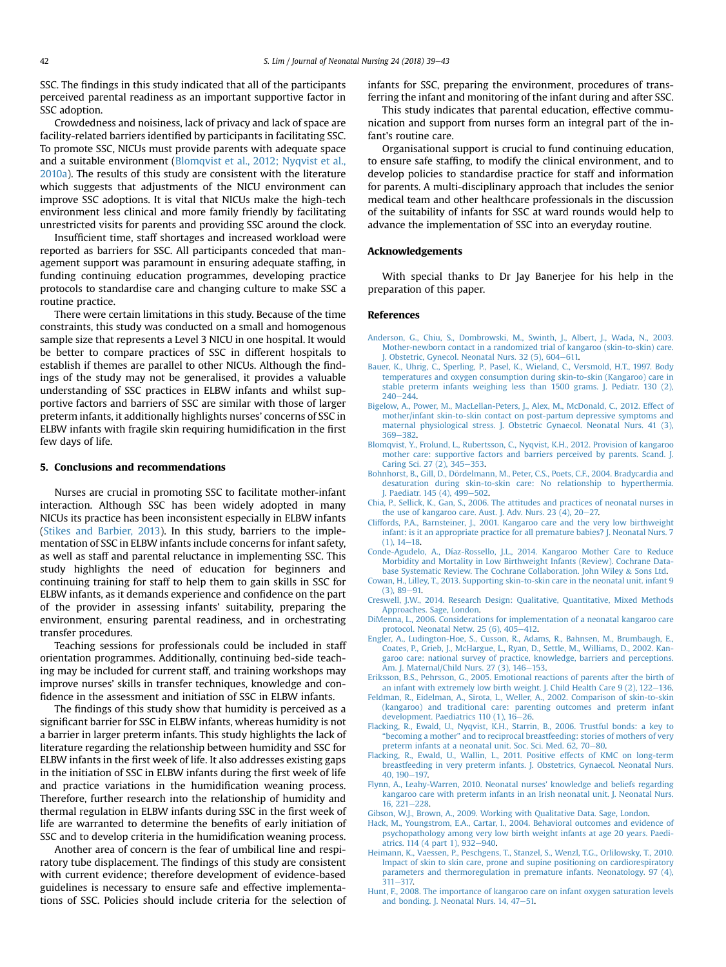<span id="page-3-0"></span>SSC. The findings in this study indicated that all of the participants perceived parental readiness as an important supportive factor in SSC adoption.

Crowdedness and noisiness, lack of privacy and lack of space are facility-related barriers identified by participants in facilitating SSC. To promote SSC, NICUs must provide parents with adequate space and a suitable environment (Blomqvist et al., 2012; Nyqvist et al., 2010a). The results of this study are consistent with the literature which suggests that adjustments of the NICU environment can improve SSC adoptions. It is vital that NICUs make the high-tech environment less clinical and more family friendly by facilitating unrestricted visits for parents and providing SSC around the clock.

Insufficient time, staff shortages and increased workload were reported as barriers for SSC. All participants conceded that management support was paramount in ensuring adequate staffing, in funding continuing education programmes, developing practice protocols to standardise care and changing culture to make SSC a routine practice.

There were certain limitations in this study. Because of the time constraints, this study was conducted on a small and homogenous sample size that represents a Level 3 NICU in one hospital. It would be better to compare practices of SSC in different hospitals to establish if themes are parallel to other NICUs. Although the findings of the study may not be generalised, it provides a valuable understanding of SSC practices in ELBW infants and whilst supportive factors and barriers of SSC are similar with those of larger preterm infants, it additionally highlights nurses' concerns of SSC in ELBW infants with fragile skin requiring humidification in the first few days of life.

#### 5. Conclusions and recommendations

Nurses are crucial in promoting SSC to facilitate mother-infant interaction. Although SSC has been widely adopted in many NICUs its practice has been inconsistent especially in ELBW infants ([Stikes and Barbier, 2013\)](#page-4-0). In this study, barriers to the implementation of SSC in ELBW infants include concerns for infant safety, as well as staff and parental reluctance in implementing SSC. This study highlights the need of education for beginners and continuing training for staff to help them to gain skills in SSC for ELBW infants, as it demands experience and confidence on the part of the provider in assessing infants' suitability, preparing the environment, ensuring parental readiness, and in orchestrating transfer procedures.

Teaching sessions for professionals could be included in staff orientation programmes. Additionally, continuing bed-side teaching may be included for current staff, and training workshops may improve nurses' skills in transfer techniques, knowledge and confidence in the assessment and initiation of SSC in ELBW infants.

The findings of this study show that humidity is perceived as a significant barrier for SSC in ELBW infants, whereas humidity is not a barrier in larger preterm infants. This study highlights the lack of literature regarding the relationship between humidity and SSC for ELBW infants in the first week of life. It also addresses existing gaps in the initiation of SSC in ELBW infants during the first week of life and practice variations in the humidification weaning process. Therefore, further research into the relationship of humidity and thermal regulation in ELBW infants during SSC in the first week of life are warranted to determine the benefits of early initiation of SSC and to develop criteria in the humidification weaning process.

Another area of concern is the fear of umbilical line and respiratory tube displacement. The findings of this study are consistent with current evidence; therefore development of evidence-based guidelines is necessary to ensure safe and effective implementations of SSC. Policies should include criteria for the selection of infants for SSC, preparing the environment, procedures of transferring the infant and monitoring of the infant during and after SSC.

This study indicates that parental education, effective communication and support from nurses form an integral part of the infant's routine care.

Organisational support is crucial to fund continuing education, to ensure safe staffing, to modify the clinical environment, and to develop policies to standardise practice for staff and information for parents. A multi-disciplinary approach that includes the senior medical team and other healthcare professionals in the discussion of the suitability of infants for SSC at ward rounds would help to advance the implementation of SSC into an everyday routine.

#### Acknowledgements

With special thanks to Dr Jay Banerjee for his help in the preparation of this paper.

#### References

- [Anderson, G., Chiu, S., Dombrowski, M., Swinth, J., Albert, J., Wada, N., 2003.](http://refhub.elsevier.com/S1355-1841(17)30189-8/sref1) [Mother-newborn contact in a randomized trial of kangaroo \(skin-to-skin\) care.](http://refhub.elsevier.com/S1355-1841(17)30189-8/sref1) [J. Obstetric, Gynecol. Neonatal Nurs. 32 \(5\), 604](http://refhub.elsevier.com/S1355-1841(17)30189-8/sref1)-[611.](http://refhub.elsevier.com/S1355-1841(17)30189-8/sref1)
- [Bauer, K., Uhrig, C., Sperling, P., Pasel, K., Wieland, C., Versmold, H.T., 1997. Body](http://refhub.elsevier.com/S1355-1841(17)30189-8/sref2) [temperatures and oxygen consumption during skin-to-skin \(Kangaroo\) care in](http://refhub.elsevier.com/S1355-1841(17)30189-8/sref2) [stable preterm infants weighing less than 1500 grams. J. Pediatr. 130 \(2\),](http://refhub.elsevier.com/S1355-1841(17)30189-8/sref2)  $240 - 244$  $240 - 244$ .
- [Bigelow, A., Power, M., MacLellan-Peters, J., Alex, M., McDonald, C., 2012. Effect of](http://refhub.elsevier.com/S1355-1841(17)30189-8/sref3) [mother/infant skin-to-skin contact on post-partum depressive symptoms and](http://refhub.elsevier.com/S1355-1841(17)30189-8/sref3) [maternal physiological stress. J. Obstetric Gynaecol. Neonatal Nurs. 41 \(3\),](http://refhub.elsevier.com/S1355-1841(17)30189-8/sref3) [369](http://refhub.elsevier.com/S1355-1841(17)30189-8/sref3)-[382.](http://refhub.elsevier.com/S1355-1841(17)30189-8/sref3)
- [Blomqvist, Y., Frolund, L., Rubertsson, C., Nyqvist, K.H., 2012. Provision of kangaroo](http://refhub.elsevier.com/S1355-1841(17)30189-8/sref4) [mother care: supportive factors and barriers perceived by parents. Scand. J.](http://refhub.elsevier.com/S1355-1841(17)30189-8/sref4) Caring Sci. 27  $(2)$ , 345-[353](http://refhub.elsevier.com/S1355-1841(17)30189-8/sref4).
- [Bohnhorst, B., Gill, D., D](http://refhub.elsevier.com/S1355-1841(17)30189-8/sref5)ö[rdelmann, M., Peter, C.S., Poets, C.F., 2004. Bradycardia and](http://refhub.elsevier.com/S1355-1841(17)30189-8/sref5) [desaturation during skin-to-skin care: No relationship to hyperthermia.](http://refhub.elsevier.com/S1355-1841(17)30189-8/sref5) [J. Paediatr. 145 \(4\), 499](http://refhub.elsevier.com/S1355-1841(17)30189-8/sref5)-[502.](http://refhub.elsevier.com/S1355-1841(17)30189-8/sref5)
- [Chia, P., Sellick, K., Gan, S., 2006. The attitudes and practices of neonatal nurses in](http://refhub.elsevier.com/S1355-1841(17)30189-8/sref6) the use of kangaroo care. Aust. J. Adv. Nurs.  $23(4)$ ,  $20-27$ .
- [Cliffords, P.A., Barnsteiner, J., 2001. Kangaroo care and the very low birthweight](http://refhub.elsevier.com/S1355-1841(17)30189-8/sref7) [infant: is it an appropriate practice for all premature babies? J. Neonatal Nurs. 7](http://refhub.elsevier.com/S1355-1841(17)30189-8/sref7)  $(1), 14-18.$  $(1), 14-18.$  $(1), 14-18.$
- [Conde-Agudelo, A., Díaz-Rossello, J.L., 2014. Kangaroo Mother Care to Reduce](http://refhub.elsevier.com/S1355-1841(17)30189-8/sref8) [Morbidity and Mortality in Low Birthweight Infants \(Review\). Cochrane Data](http://refhub.elsevier.com/S1355-1841(17)30189-8/sref8)[base Systematic Review. The Cochrane Collaboration. John Wiley](http://refhub.elsevier.com/S1355-1841(17)30189-8/sref8) & [Sons Ltd.](http://refhub.elsevier.com/S1355-1841(17)30189-8/sref8)
- [Cowan, H., Lilley, T., 2013. Supporting skin-to-skin care in the neonatal unit. infant 9](http://refhub.elsevier.com/S1355-1841(17)30189-8/sref9)  $(3), 89 - 91.$  $(3), 89 - 91.$  $(3), 89 - 91.$
- [Creswell, J.W., 2014. Research Design: Qualitative, Quantitative, Mixed Methods](http://refhub.elsevier.com/S1355-1841(17)30189-8/sref10) [Approaches. Sage, London](http://refhub.elsevier.com/S1355-1841(17)30189-8/sref10).
- [DiMenna, L., 2006. Considerations for implementation of a neonatal kangaroo care](http://refhub.elsevier.com/S1355-1841(17)30189-8/sref11) protocol. Neonatal Netw. 25  $(6)$ , 405 $-412$ .
- [Engler, A., Ludington-Hoe, S., Cusson, R., Adams, R., Bahnsen, M., Brumbaugh, E.,](http://refhub.elsevier.com/S1355-1841(17)30189-8/sref12) [Coates, P., Grieb, J., McHargue, L., Ryan, D., Settle, M., Williams, D., 2002. Kan](http://refhub.elsevier.com/S1355-1841(17)30189-8/sref12)[garoo care: national survey of practice, knowledge, barriers and perceptions.](http://refhub.elsevier.com/S1355-1841(17)30189-8/sref12)<br>[Am. J. Maternal/Child Nurs. 27 \(3\), 146](http://refhub.elsevier.com/S1355-1841(17)30189-8/sref12)–[153](http://refhub.elsevier.com/S1355-1841(17)30189-8/sref12).
- [Eriksson, B.S., Pehrsson, G., 2005. Emotional reactions of parents after the birth of](http://refhub.elsevier.com/S1355-1841(17)30189-8/sref13) an infant with extremely low birth weight. J. Child Health Care  $9(2)$ ,  $122-136$  $122-136$ .
- [Feldman, R., Eidelman, A., Sirota, L., Weller, A., 2002. Comparison of skin-to-skin](http://refhub.elsevier.com/S1355-1841(17)30189-8/sref14) [\(kangaroo\) and traditional care: parenting outcomes and preterm infant](http://refhub.elsevier.com/S1355-1841(17)30189-8/sref14) development. Paediatrics  $110(1)$ ,  $16-26$ .
- [Flacking, R., Ewald, U., Nyqvist, K.H., Starrin, B., 2006. Trustful bonds: a key to](http://refhub.elsevier.com/S1355-1841(17)30189-8/sref15) "becoming a mother" [and to reciprocal breastfeeding: stories of mothers of very](http://refhub.elsevier.com/S1355-1841(17)30189-8/sref15) [preterm infants at a neonatal unit. Soc. Sci. Med. 62, 70](http://refhub.elsevier.com/S1355-1841(17)30189-8/sref15)-[80.](http://refhub.elsevier.com/S1355-1841(17)30189-8/sref15)
- [Flacking, R., Ewald, U., Wallin, L., 2011. Positive effects of KMC on long-term](http://refhub.elsevier.com/S1355-1841(17)30189-8/sref16) [breastfeeding in very preterm infants. J. Obstetrics, Gynaecol. Neonatal Nurs.](http://refhub.elsevier.com/S1355-1841(17)30189-8/sref16) [40, 190](http://refhub.elsevier.com/S1355-1841(17)30189-8/sref16)-[197.](http://refhub.elsevier.com/S1355-1841(17)30189-8/sref16)
- [Flynn, A., Leahy-Warren, 2010. Neonatal nurses' knowledge and beliefs regarding](http://refhub.elsevier.com/S1355-1841(17)30189-8/sref17) [kangaroo care with preterm infants in an Irish neonatal unit. J. Neonatal Nurs.](http://refhub.elsevier.com/S1355-1841(17)30189-8/sref17)  $16, 221 - 228.$  $16, 221 - 228.$  $16, 221 - 228.$
- [Gibson, W.J., Brown, A., 2009. Working with Qualitative Data. Sage, London.](http://refhub.elsevier.com/S1355-1841(17)30189-8/sref18)
- [Hack, M., Youngstrom, E.A., Cartar, I., 2004. Behavioral outcomes and evidence of](http://refhub.elsevier.com/S1355-1841(17)30189-8/sref19) [psychopathology among very low birth weight infants at age 20 years. Paedi](http://refhub.elsevier.com/S1355-1841(17)30189-8/sref19)atrics.  $114$  (4 part 1),  $932 - 940$ .
- [Heimann, K., Vaessen, P., Peschgens, T., Stanzel, S., Wenzl, T.G., Orlilowsky, T., 2010.](http://refhub.elsevier.com/S1355-1841(17)30189-8/sref20) [Impact of skin to skin care, prone and supine positioning on cardiorespiratory](http://refhub.elsevier.com/S1355-1841(17)30189-8/sref20) [parameters and thermoregulation in premature infants. Neonatology. 97 \(4\),](http://refhub.elsevier.com/S1355-1841(17)30189-8/sref20)  $311 - 317$  $311 - 317$
- [Hunt, F., 2008. The importance of kangaroo care on infant oxygen saturation levels](http://refhub.elsevier.com/S1355-1841(17)30189-8/sref21) and bonding. J. Neonatal Nurs.  $14, 47-51.$  $14, 47-51.$